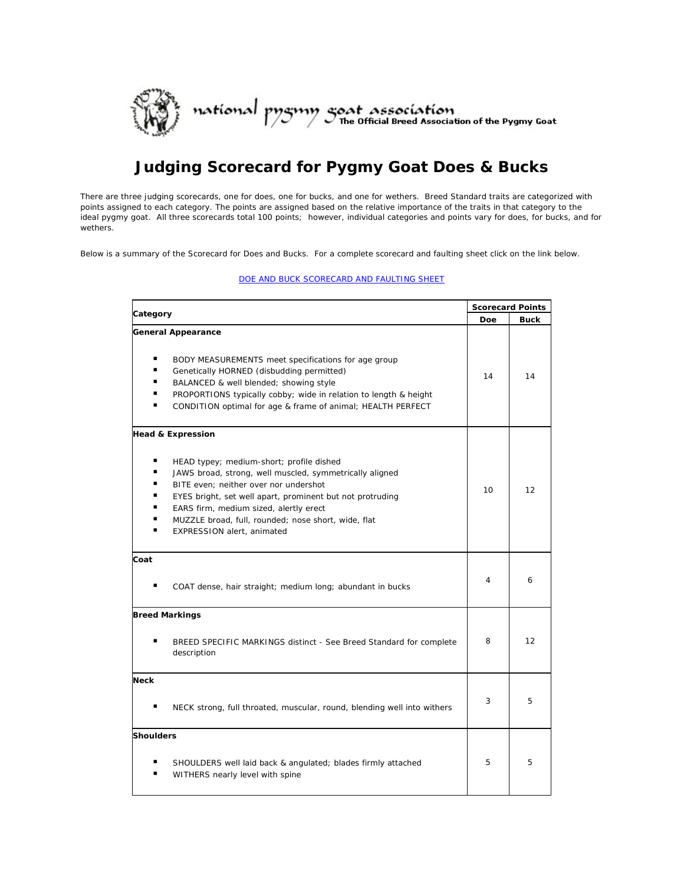

## **Judging Scorecard for Pygmy Goat Does & Bucks**

There are three judging scorecards, one for does, one for bucks, and one for [wethers.](http://web.archive.org/web/20160920015953mp_/http:/www.npga-pygmy.com/resources/conformation/scorecard_w.asp) Breed Standard traits are categorized with points assigned to each category. The points are assigned based on the relative importance of the traits in that category to the ideal pygmy goat. All three scorecards total 100 points; however, individual categories and points vary for does, for bucks, and for wethers.

Below is a summary of the Scorecard for Does and Bucks. For a complete scorecard and faulting sheet click on the link below.

[DOE AND BUCK SCORECARD AND FAULTING SHEET](https://www.npga-pygmy.com/_files/ugd/51ca65_a04da512d6ce4444a533f5bc946ee13f.pdf)

|                                                                                                                                                                                                                                                                                                                                                                                                               | <b>Scorecard Points</b> |      |
|---------------------------------------------------------------------------------------------------------------------------------------------------------------------------------------------------------------------------------------------------------------------------------------------------------------------------------------------------------------------------------------------------------------|-------------------------|------|
| Category                                                                                                                                                                                                                                                                                                                                                                                                      |                         | Buck |
| <b>General Appearance</b><br>٠<br>BODY MEASUREMENTS meet specifications for age group<br>٠<br>Genetically HORNED (disbudding permitted)<br>٠<br>BALANCED & well blended; showing style<br>٠<br>PROPORTIONS typically cobby; wide in relation to length & height<br>CONDITION optimal for age & frame of animal; HEALTH PERFECT                                                                                | 14                      | 14   |
| <b>Head &amp; Expression</b><br>٠<br>HEAD typey; medium-short; profile dished<br>٠<br>JAWS broad, strong, well muscled, symmetrically aligned<br>٠<br>BITE even; neither over nor undershot<br>٠<br>EYES bright, set well apart, prominent but not protruding<br>٠<br>EARS firm, medium sized, alertly erect<br>٠<br>MUZZLE broad, full, rounded; nose short, wide, flat<br><b>EXPRESSION alert, animated</b> | 10                      | 12   |
| Coat<br>COAT dense, hair straight; medium long; abundant in bucks                                                                                                                                                                                                                                                                                                                                             | 4                       | 6    |
| <b>Breed Markings</b><br>BREED SPECIFIC MARKINGS distinct - See Breed Standard for complete<br>description                                                                                                                                                                                                                                                                                                    | 8                       | 12   |
| <b>Neck</b><br>NECK strong, full throated, muscular, round, blending well into withers                                                                                                                                                                                                                                                                                                                        | 3                       | 5    |
| <b>Shoulders</b><br>SHOULDERS well laid back & angulated; blades firmly attached<br>WITHERS nearly level with spine                                                                                                                                                                                                                                                                                           | 5                       | 5    |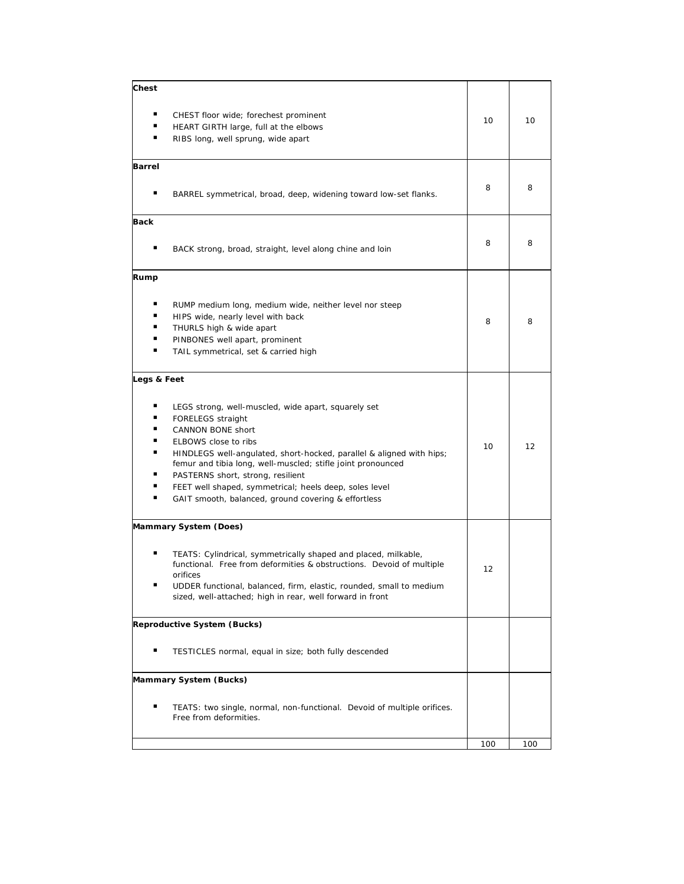| Chest       |                                                                                                                                                                                                                                                                                                                                                                                                                    |     |     |
|-------------|--------------------------------------------------------------------------------------------------------------------------------------------------------------------------------------------------------------------------------------------------------------------------------------------------------------------------------------------------------------------------------------------------------------------|-----|-----|
| ٠<br>٠      | CHEST floor wide; forechest prominent<br>HEART GIRTH large, full at the elbows<br>RIBS long, well sprung, wide apart                                                                                                                                                                                                                                                                                               | 10  | 10  |
| Barrel      |                                                                                                                                                                                                                                                                                                                                                                                                                    |     |     |
|             | BARREL symmetrical, broad, deep, widening toward low-set flanks.                                                                                                                                                                                                                                                                                                                                                   | 8   | 8   |
| Back        |                                                                                                                                                                                                                                                                                                                                                                                                                    |     |     |
|             |                                                                                                                                                                                                                                                                                                                                                                                                                    |     |     |
|             | BACK strong, broad, straight, level along chine and loin                                                                                                                                                                                                                                                                                                                                                           | 8   | 8   |
| Rump        |                                                                                                                                                                                                                                                                                                                                                                                                                    |     |     |
| ▪<br>٠      | RUMP medium long, medium wide, neither level nor steep<br>HIPS wide, nearly level with back<br>THURLS high & wide apart<br>PINBONES well apart, prominent<br>TAIL symmetrical, set & carried high                                                                                                                                                                                                                  | 8   | 8   |
| Legs & Feet |                                                                                                                                                                                                                                                                                                                                                                                                                    |     |     |
| ▪<br>▪<br>▪ | LEGS strong, well-muscled, wide apart, squarely set<br>FORELEGS straight<br>CANNON BONE short<br>ELBOWS close to ribs<br>HINDLEGS well-angulated, short-hocked, parallel & aligned with hips;<br>femur and tibia long, well-muscled; stifle joint pronounced<br>PASTERNS short, strong, resilient<br>FEET well shaped, symmetrical; heels deep, soles level<br>GAIT smooth, balanced, ground covering & effortless | 10  | 12  |
|             | Mammary System (Does)                                                                                                                                                                                                                                                                                                                                                                                              |     |     |
| ٠           | TEATS: Cylindrical, symmetrically shaped and placed, milkable,<br>functional. Free from deformities & obstructions. Devoid of multiple<br>orifices<br>UDDER functional, balanced, firm, elastic, rounded, small to medium<br>sized, well-attached; high in rear, well forward in front                                                                                                                             | 12  |     |
|             | Reproductive System (Bucks)                                                                                                                                                                                                                                                                                                                                                                                        |     |     |
|             | TESTICLES normal, equal in size; both fully descended                                                                                                                                                                                                                                                                                                                                                              |     |     |
|             | Mammary System (Bucks)                                                                                                                                                                                                                                                                                                                                                                                             |     |     |
| ٠           | TEATS: two single, normal, non-functional. Devoid of multiple orifices.<br>Free from deformities.                                                                                                                                                                                                                                                                                                                  |     |     |
|             |                                                                                                                                                                                                                                                                                                                                                                                                                    | 100 | 100 |